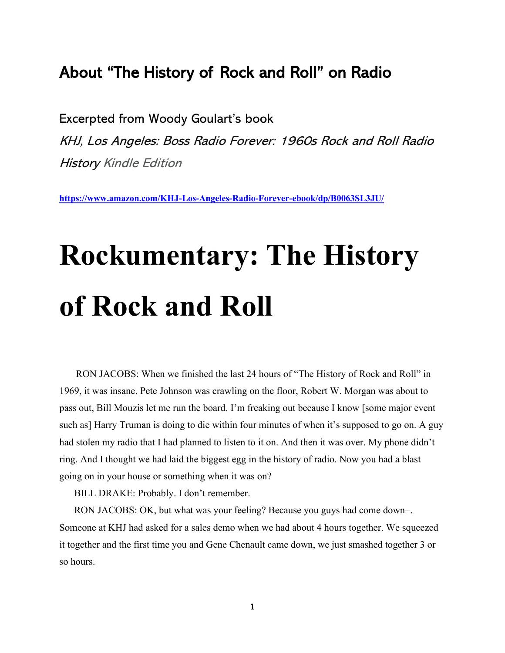## About "The History of Rock and Roll" on Radio

Excerpted from Woody Goulart's book KHJ, Los Angeles: Boss Radio Forever: 1960s Rock and Roll Radio History Kindle Edition

**<https://www.amazon.com/KHJ-Los-Angeles-Radio-Forever-ebook/dp/B0063SL3JU/>**

## **Rockumentary: The History of Rock and Roll**

 RON JACOBS: When we finished the last 24 hours of "The History of Rock and Roll" in 1969, it was insane. Pete Johnson was crawling on the floor, Robert W. Morgan was about to pass out, [Bill Mouzis](http://woodygoulart.com/wg/rock-and-roll-radio-history/boss-radio-forever/technology/the-signal-and-the-sound/) let me run the board. I'm freaking out because I know [some major event such as] Harry Truman is doing to die within four minutes of when it's supposed to go on. A guy had stolen my radio that I had planned to listen to it on. And then it was over. My phone didn't ring. And I thought we had laid the biggest egg in the history of radio. Now you had a blast going on in your house or something when it was on?

BILL DRAKE: Probably. I don't remember.

RON JACOBS: OK, but what was your feeling? Because you guys had come down–. Someone at KHJ had asked for a sales demo when we had about 4 hours together. We squeezed it together and the first time you and Gene Chenault came down, we just smashed together 3 or so hours.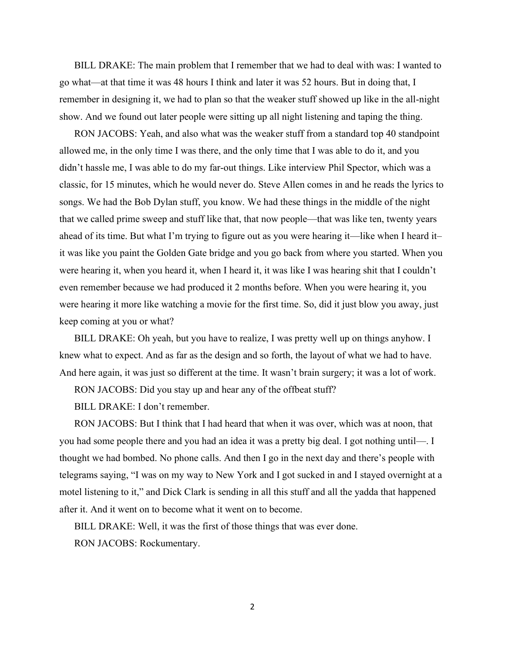BILL DRAKE: The main problem that I remember that we had to deal with was: I wanted to go what—at that time it was 48 hours I think and later it was 52 hours. But in doing that, I remember in designing it, we had to plan so that the weaker stuff showed up like in the all-night show. And we found out later people were sitting up all night listening and taping the thing.

RON JACOBS: Yeah, and also what was the weaker stuff from a standard top 40 standpoint allowed me, in the only time I was there, and the only time that I was able to do it, and you didn't hassle me, I was able to do my far-out things. Like interview Phil Spector, which was a classic, for 15 minutes, which he would never do. Steve Allen comes in and he reads the lyrics to songs. We had the Bob Dylan stuff, you know. We had these things in the middle of the night that we called prime sweep and stuff like that, that now people—that was like ten, twenty years ahead of its time. But what I'm trying to figure out as you were hearing it—like when I heard it– it was like you paint the Golden Gate bridge and you go back from where you started. When you were hearing it, when you heard it, when I heard it, it was like I was hearing shit that I couldn't even remember because we had produced it 2 months before. When you were hearing it, you were hearing it more like watching a movie for the first time. So, did it just blow you away, just keep coming at you or what?

BILL DRAKE: Oh yeah, but you have to realize, I was pretty well up on things anyhow. I knew what to expect. And as far as the design and so forth, the layout of what we had to have. And here again, it was just so different at the time. It wasn't brain surgery; it was a lot of work.

RON JACOBS: Did you stay up and hear any of the offbeat stuff?

BILL DRAKE: I don't remember.

RON JACOBS: But I think that I had heard that when it was over, which was at noon, that you had some people there and you had an idea it was a pretty big deal. I got nothing until—. I thought we had bombed. No phone calls. And then I go in the next day and there's people with telegrams saying, "I was on my way to New York and I got sucked in and I stayed overnight at a motel listening to it," and Dick Clark is sending in all this stuff and all the yadda that happened after it. And it went on to become what it went on to become.

BILL DRAKE: Well, it was the first of those things that was ever done.

RON JACOBS: Rockumentary.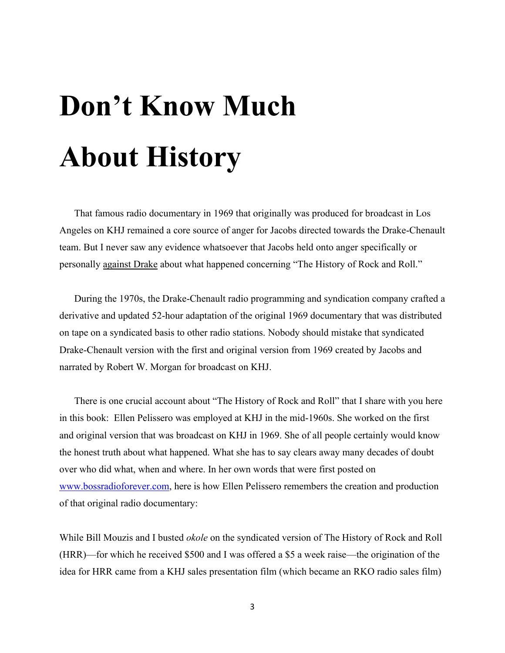## **Don't Know Much About History**

That famous radio documentary in 1969 that originally was produced for broadcast in Los Angeles on KHJ remained a core source of anger for Jacobs directed towards the Drake-Chenault team. But I never saw any evidence whatsoever that Jacobs held onto anger specifically or personally against Drake about what happened concerning "The History of Rock and Roll."

During the 1970s, the Drake-Chenault radio programming and syndication company crafted a derivative and updated 52-hour adaptation of the original 1969 documentary that was distributed on tape on a syndicated basis to other radio stations. Nobody should mistake that syndicated Drake-Chenault version with the first and original version from 1969 created by Jacobs and narrated by Robert W. Morgan for broadcast on KHJ.

There is one crucial account about "The History of Rock and Roll" that I share with you here in this book: Ellen Pelissero was employed at KHJ in the mid-1960s. She worked on the first and original version that was broadcast on KHJ in 1969. She of all people certainly would know the honest truth about what happened. What she has to say clears away many decades of doubt over who did what, when and where. In her own words that were first posted on [www.bossradioforever.com,](http://www.bossradioforever.com/) here is how Ellen Pelissero remembers the creation and production of that original radio documentary:

While Bill Mouzis and I busted *okole* on the syndicated version of The History of Rock and Roll (HRR)—for which he received \$500 and I was offered a \$5 a week raise—the origination of the idea for HRR came from a KHJ sales presentation film (which became an RKO radio sales film)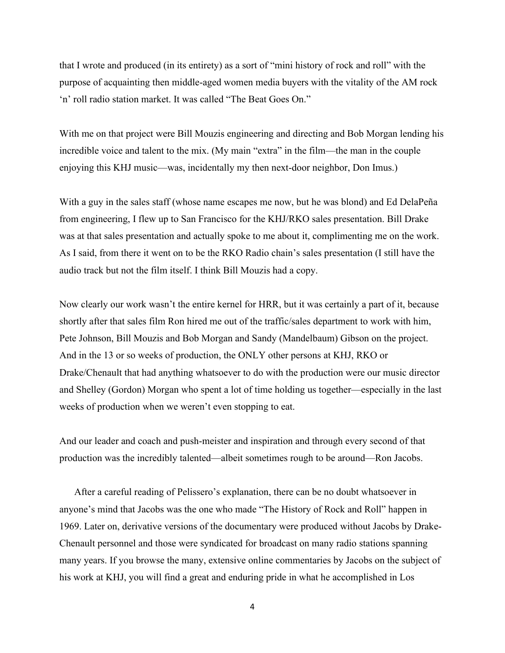that I wrote and produced (in its entirety) as a sort of "mini history of rock and roll" with the purpose of acquainting then middle-aged women media buyers with the vitality of the AM rock 'n' roll radio station market. It was called "The Beat Goes On."

With me on that project were Bill Mouzis engineering and directing and Bob Morgan lending his incredible voice and talent to the mix. (My main "extra" in the film—the man in the couple enjoying this KHJ music—was, incidentally my then next-door neighbor, Don Imus.)

With a guy in the sales staff (whose name escapes me now, but he was blond) and Ed DelaPeña from engineering, I flew up to San Francisco for the KHJ/RKO sales presentation. Bill Drake was at that sales presentation and actually spoke to me about it, complimenting me on the work. As I said, from there it went on to be the RKO Radio chain's sales presentation (I still have the audio track but not the film itself. I think Bill Mouzis had a copy.

Now clearly our work wasn't the entire kernel for HRR, but it was certainly a part of it, because shortly after that sales film Ron hired me out of the traffic/sales department to work with him, Pete Johnson, Bill Mouzis and Bob Morgan and Sandy (Mandelbaum) Gibson on the project. And in the 13 or so weeks of production, the ONLY other persons at KHJ, RKO or Drake/Chenault that had anything whatsoever to do with the production were our music director and Shelley (Gordon) Morgan who spent a lot of time holding us together—especially in the last weeks of production when we weren't even stopping to eat.

And our leader and coach and push-meister and inspiration and through every second of that production was the incredibly talented—albeit sometimes rough to be around—Ron Jacobs.

After a careful reading of Pelissero's explanation, there can be no doubt whatsoever in anyone's mind that Jacobs was the one who made "The History of Rock and Roll" happen in 1969. Later on, derivative versions of the documentary were produced without Jacobs by Drake-Chenault personnel and those were syndicated for broadcast on many radio stations spanning many years. If you browse the many, extensive online commentaries by Jacobs on the subject of his work at KHJ, you will find a great and enduring pride in what he accomplished in Los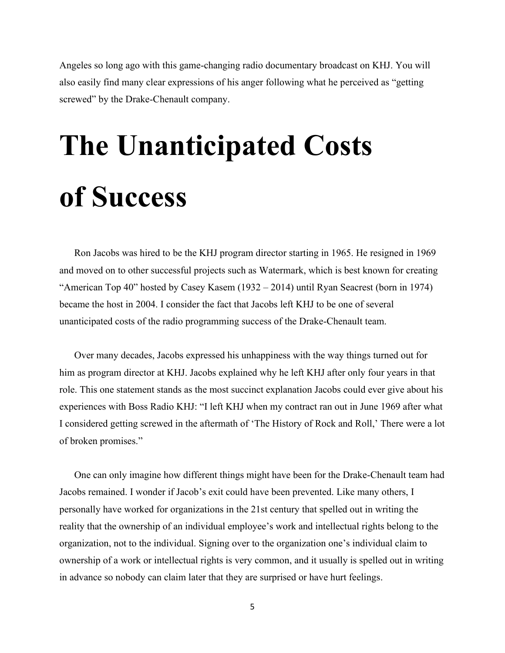Angeles so long ago with this game-changing radio documentary broadcast on KHJ. You will also easily find many clear expressions of his anger following what he perceived as "getting screwed" by the Drake-Chenault company.

## **The Unanticipated Costs of Success**

Ron Jacobs was hired to be the KHJ program director starting in 1965. He resigned in 1969 and moved on to other successful projects such as Watermark, which is best known for creating "American Top 40" hosted by Casey Kasem (1932 – 2014) until Ryan Seacrest (born in 1974) became the host in 2004. I consider the fact that Jacobs left KHJ to be one of several unanticipated costs of the radio programming success of the Drake-Chenault team.

Over many decades, Jacobs expressed his unhappiness with the way things turned out for him as program director at KHJ. Jacobs explained why he left KHJ after only four years in that role. This one statement stands as the most succinct explanation Jacobs could ever give about his experiences with Boss Radio KHJ: "I left KHJ when my contract ran out in June 1969 after what I considered getting screwed in the aftermath of 'The History of Rock and Roll,' There were a lot of broken promises."

One can only imagine how different things might have been for the Drake-Chenault team had Jacobs remained. I wonder if Jacob's exit could have been prevented. Like many others, I personally have worked for organizations in the 21st century that spelled out in writing the reality that the ownership of an individual employee's work and intellectual rights belong to the organization, not to the individual. Signing over to the organization one's individual claim to ownership of a work or intellectual rights is very common, and it usually is spelled out in writing in advance so nobody can claim later that they are surprised or have hurt feelings.